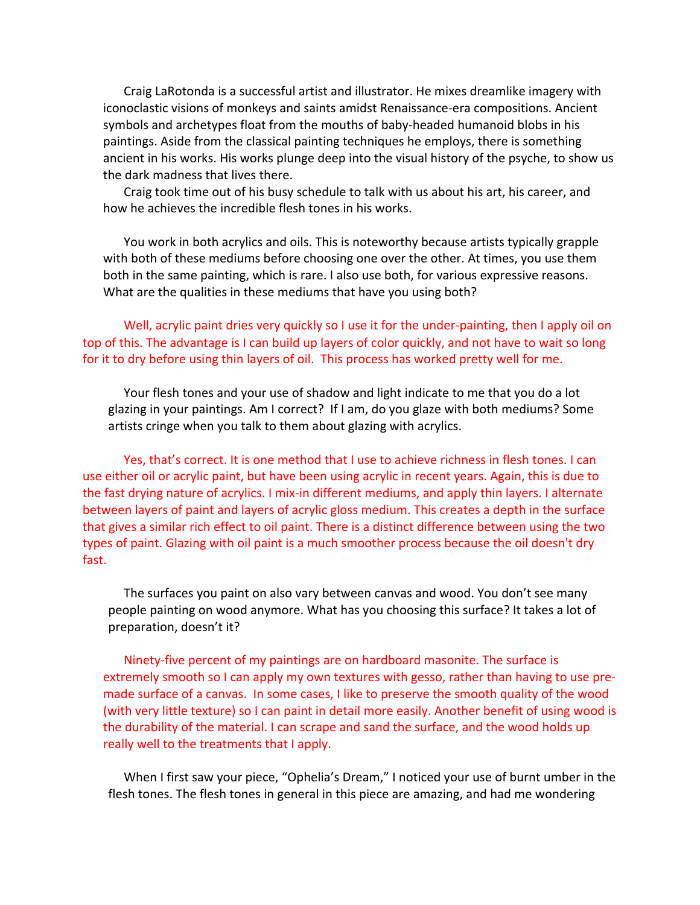Craig LaRotonda is a successful artist and illustrator. He mixes dreamlike imagery with iconoclastic visions of monkeys and saints amidst Renaissance-era compositions. Ancient symbols and archetypes float from the mouths of baby-headed humanoid blobs in his paintings. Aside from the classical painting techniques he employs, there is something ancient in his works. His works plunge deep into the visual history of the psyche, to show us the dark madness that lives there.

Craig took time out of his busy schedule to talk with us about his art, his career, and how he achieves the incredible flesh tones in his works.

You work in both acrylics and oils. This is noteworthy because artists typically grapple with both of these mediums before choosing one over the other. At times, you use them both in the same painting, which is rare. I also use both, for various expressive reasons. What are the qualities in these mediums that have you using both?

Well, acrylic paint dries very quickly so I use it for the under-painting, then I apply oil on top of this. The advantage is I can build up layers of color quickly, and not have to wait so long for it to dry before using thin layers of oil. This process has worked pretty well for me.

Your flesh tones and your use of shadow and light indicate to me that you do a lot glazing in your paintings. Am I correct? If I am, do you glaze with both mediums? Some artists cringe when you talk to them about glazing with acrylics.

Yes, that's correct. It is one method that I use to achieve richness in flesh tones. I can use either oil or acrylic paint, but have been using acrylic in recent years. Again, this is due to the fast drying nature of acrylics. I mix-in different mediums, and apply thin layers. I alternate between layers of paint and layers of acrylic gloss medium. This creates a depth in the surface that gives a similar rich effect to oil paint. There is a distinct difference between using the two types of paint. Glazing with oil paint is a much smoother process because the oil doesn't dry fast.

The surfaces you paint on also vary between canvas and wood. You don't see many people painting on wood anymore. What has you choosing this surface? It takes a lot of preparation, doesn't it?

Ninety-five percent of my paintings are on hardboard masonite. The surface is extremely smooth so I can apply my own textures with gesso, rather than having to use premade surface of a canvas. In some cases, I like to preserve the smooth quality of the wood (with very little texture) so I can paint in detail more easily. Another benefit of using wood is the durability of the material. I can scrape and sand the surface, and the wood holds up really well to the treatments that I apply.

When I first saw your piece, "Ophelia's Dream," I noticed your use of burnt umber in the flesh tones. The flesh tones in general in this piece are amazing, and had me wondering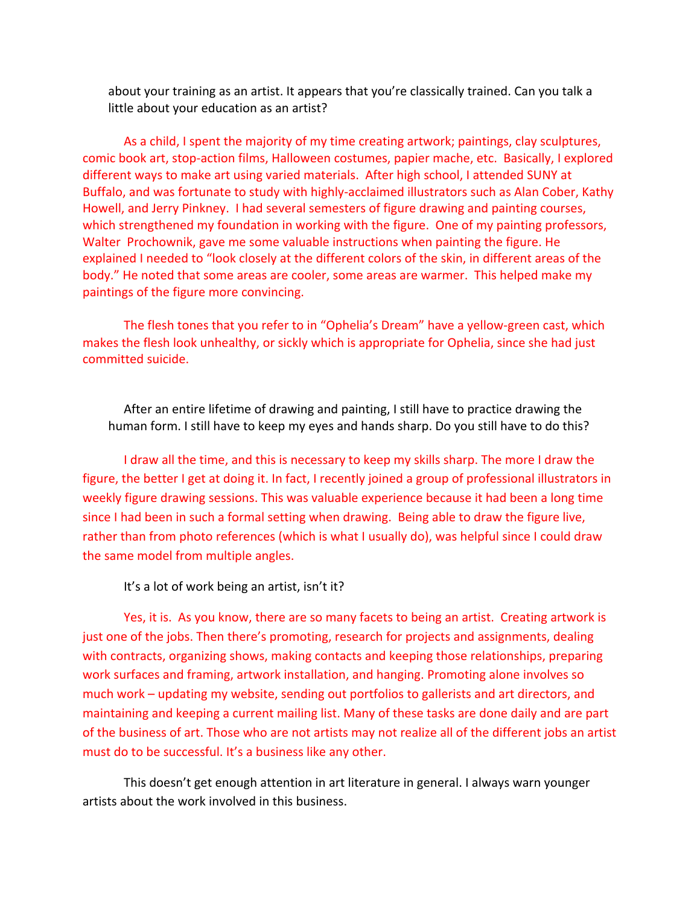about your training as an artist. It appears that you're classically trained. Can you talk a little about your education as an artist?

As a child, I spent the majority of my time creating artwork; paintings, clay sculptures, comic book art, stop-action films, Halloween costumes, papier mache, etc. Basically, I explored different ways to make art using varied materials. After high school, I attended SUNY at Buffalo, and was fortunate to study with highly-acclaimed illustrators such as Alan Cober, Kathy Howell, and Jerry Pinkney. I had several semesters of figure drawing and painting courses, which strengthened my foundation in working with the figure. One of my painting professors, Walter Prochownik, gave me some valuable instructions when painting the figure. He explained I needed to "look closely at the different colors of the skin, in different areas of the body." He noted that some areas are cooler, some areas are warmer. This helped make my paintings of the figure more convincing.

The flesh tones that you refer to in "Ophelia's Dream" have a yellow-green cast, which makes the flesh look unhealthy, or sickly which is appropriate for Ophelia, since she had just committed suicide.

After an entire lifetime of drawing and painting, I still have to practice drawing the human form. I still have to keep my eyes and hands sharp. Do you still have to do this?

I draw all the time, and this is necessary to keep my skills sharp. The more I draw the figure, the better I get at doing it. In fact, I recently joined a group of professional illustrators in weekly figure drawing sessions. This was valuable experience because it had been a long time since I had been in such a formal setting when drawing. Being able to draw the figure live, rather than from photo references (which is what I usually do), was helpful since I could draw the same model from multiple angles.

It's a lot of work being an artist, isn't it?

Yes, it is. As you know, there are so many facets to being an artist. Creating artwork is just one of the jobs. Then there's promoting, research for projects and assignments, dealing with contracts, organizing shows, making contacts and keeping those relationships, preparing work surfaces and framing, artwork installation, and hanging. Promoting alone involves so much work – updating my website, sending out portfolios to gallerists and art directors, and maintaining and keeping a current mailing list. Many of these tasks are done daily and are part of the business of art. Those who are not artists may not realize all of the different jobs an artist must do to be successful. It's a business like any other.

This doesn't get enough attention in art literature in general. I always warn younger artists about the work involved in this business.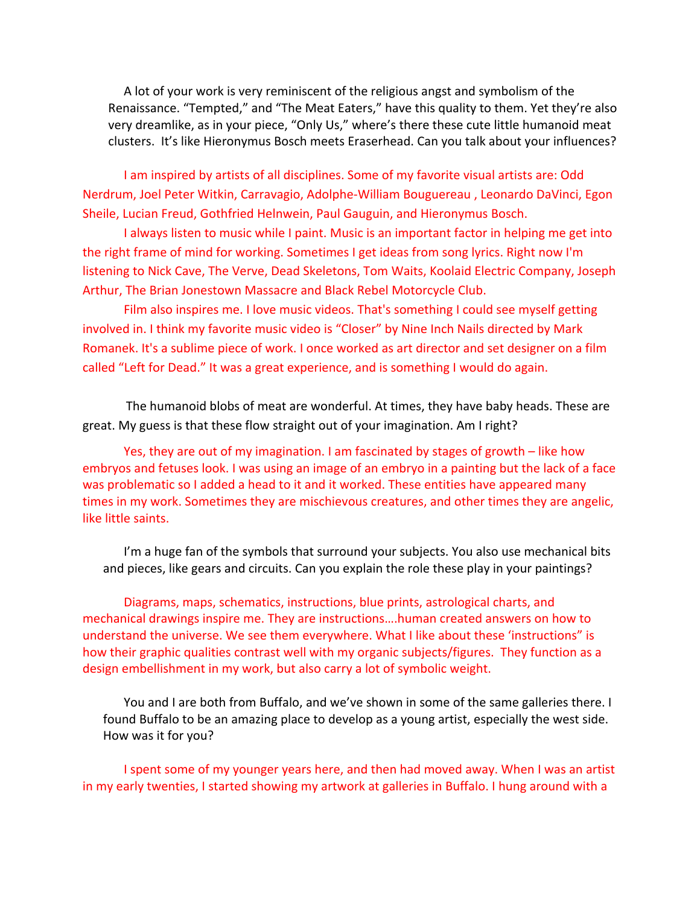A lot of your work is very reminiscent of the religious angst and symbolism of the Renaissance. "Tempted," and "The Meat Eaters," have this quality to them. Yet they're also very dreamlike, as in your piece, "Only Us," where's there these cute little humanoid meat clusters. It's like Hieronymus Bosch meets Eraserhead. Can you talk about your influences?

I am inspired by artists of all disciplines. Some of my favorite visual artists are: Odd Nerdrum, Joel Peter Witkin, Carravagio, Adolphe-William Bouguereau, Leonardo DaVinci, Egon Sheile, Lucian Freud, Gothfried Helnwein, Paul Gauguin, and Hieronymus Bosch.

I always listen to music while I paint. Music is an important factor in helping me get into the right frame of mind for working. Sometimes I get ideas from song lyrics. Right now I'm listening to Nick Cave, The Verve, Dead Skeletons, Tom Waits, Koolaid Electric Company, Joseph Arthur, The Brian Jonestown Massacre and Black Rebel Motorcycle Club.

Film also inspires me. I love music videos. That's something I could see myself getting involved in. I think my favorite music video is "Closer" by Nine Inch Nails directed by Mark Romanek. It's a sublime piece of work. I once worked as art director and set designer on a film called "Left for Dead." It was a great experience, and is something I would do again.

The humanoid blobs of meat are wonderful. At times, they have baby heads. These are great. My guess is that these flow straight out of your imagination. Am I right?

Yes, they are out of my imagination. I am fascinated by stages of growth  $-$  like how embryos and fetuses look. I was using an image of an embryo in a painting but the lack of a face was problematic so I added a head to it and it worked. These entities have appeared many times in my work. Sometimes they are mischievous creatures, and other times they are angelic, like little saints.

I'm a huge fan of the symbols that surround your subjects. You also use mechanical bits and pieces, like gears and circuits. Can you explain the role these play in your paintings?

Diagrams, maps, schematics, instructions, blue prints, astrological charts, and mechanical drawings inspire me. They are instructions....human created answers on how to understand the universe. We see them everywhere. What I like about these 'instructions" is how their graphic qualities contrast well with my organic subjects/figures. They function as a design embellishment in my work, but also carry a lot of symbolic weight.

You and I are both from Buffalo, and we've shown in some of the same galleries there. I found Buffalo to be an amazing place to develop as a young artist, especially the west side. How was it for you?

I spent some of my younger years here, and then had moved away. When I was an artist in my early twenties, I started showing my artwork at galleries in Buffalo. I hung around with a